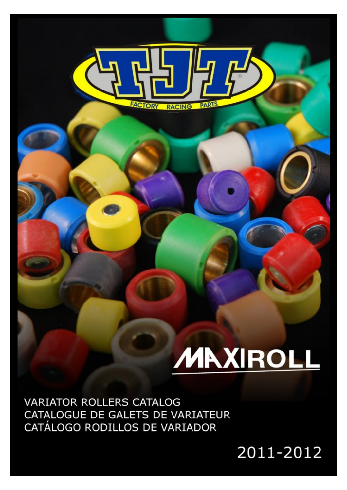# MAXIROLL

**VARIATOR ROLLERS CATALOG** CATALOGUE DE GALETS DE VARIATEUR CATÁLOGO RODILLOS DE VARIADOR

**FACTORY** 

RACING

**PARTS** 

2011-2012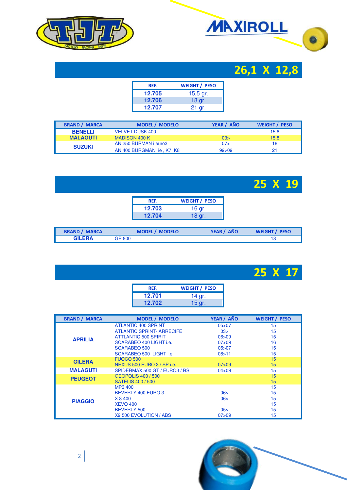



# **26,1 X 12,8**

| REF.   | <b>WEIGHT / PESO</b> |
|--------|----------------------|
| 12.705 | $15,5$ gr.           |
| 12.706 | 18 gr.               |
| 12.707 | 21 gr.               |

| <b>BRAND / MARCA</b> | <b>MODEL / MODELO</b>     | YEAR / AÑO | <b>WEIGHT / PESO</b> |
|----------------------|---------------------------|------------|----------------------|
| <b>BENELLI</b>       | <b>VELVET DUSK 400</b>    |            | 15.8                 |
| <b>MALAGUTI</b>      | <b>MADISON 400 K</b>      | 03>        | 15.8                 |
| <b>SUZUKI</b>        | AN 250 BURMAN i euro3     | 07>        | 18                   |
|                      | AN 400 BURGMAN ie, K7, K8 | 99 > 09    | 21                   |

|                      |                       |                      |            | 25 X 19              |  |
|----------------------|-----------------------|----------------------|------------|----------------------|--|
|                      | REF.                  | <b>WEIGHT / PESO</b> |            |                      |  |
|                      | 12.703                |                      |            |                      |  |
|                      | 12.704                | 16 gr.<br>18 gr.     |            |                      |  |
|                      |                       |                      |            |                      |  |
| <b>BRAND / MARCA</b> | <b>MODEL / MODELO</b> |                      | YEAR / AÑO | <b>WEIGHT / PESO</b> |  |

| <b>BRAND / MARCA</b> | <b>MODEL / MODELO</b> | YEAR / AÑO | <b>WEIGHT / PESO</b> |
|----------------------|-----------------------|------------|----------------------|
| <b>GILERA</b>        | GP 800                |            |                      |

| REF.   | <b>WEIGHT / PESO</b> |
|--------|----------------------|
| 12.701 |                      |
| 12.702 | 14 gr.<br>15 gr.     |

| <b>BRAND / MARCA</b> | <b>MODEL / MODELO</b>            | YEAR / AÑO | <b>WEIGHT / PESO</b> |
|----------------------|----------------------------------|------------|----------------------|
|                      | <b>ATLANTIC 400 SPRINT</b>       | 05 > 07    | 15                   |
|                      | <b>ATLANTIC SPRINT- ARRECIFE</b> | 03>        | 15                   |
| <b>APRILIA</b>       | <b>ATTLANTIC 500 SPIRIT</b>      | 06 > 09    | 15                   |
|                      | SCARABEO 400 LIGHT i.e.          | 07 > 09    | 16                   |
|                      | <b>SCARABEO 500</b>              | 05 > 07    | 15                   |
|                      | SCARABEO 500 LIGHT i.e.          | 08 > 11    | 15                   |
| <b>GILERA</b>        | <b>FUOCO 500</b>                 |            | 15                   |
|                      | NEXUS 500 EURO 3 / SP i.e.       | 07 > 09    | 15                   |
| <b>MALAGUTI</b>      | SPIDERMAX 500 GT / EURO3 / RS    | 04 > 09    | 15                   |
| <b>PEUGEOT</b>       | GEOPOLIS 400 / 500               |            | 15                   |
|                      | <b>SATELIS 400 / 500</b>         |            | 15                   |
|                      | MP3 400                          |            | 15                   |
|                      | BEVERLY 400 EURO 3               | 06 >       | 15                   |
| <b>PIAGGIO</b>       | X 8 400                          | 06 >       | 15                   |
|                      | <b>XEVO 400</b>                  |            | 15                   |
|                      | <b>BEVERLY 500</b>               | 05 >       | 15                   |
|                      | X9 500 EVOLUTION / ABS           | 07 > 09    | 15                   |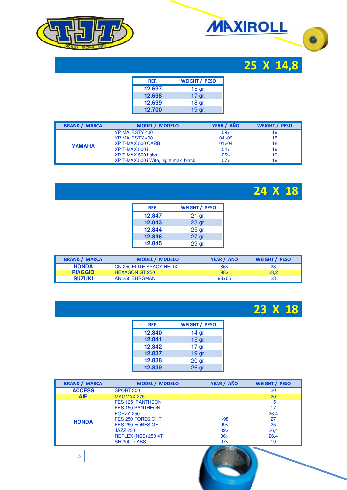





| REF.   | <b>WEIGHT / PESO</b> |
|--------|----------------------|
| 12.697 | $15$ gr.             |
| 12.698 | 17 gr.               |
| 12.699 | 18 gr.               |
| 12.700 | 19 gr.               |

| <b>BRAND / MARCA</b> | <b>MODEL / MODELO</b>                 | YEAR / AÑO | <b>WEIGHT / PESO</b> |
|----------------------|---------------------------------------|------------|----------------------|
|                      | <b>YP MAJESTY 400</b>                 | 09>        | 19                   |
| YAMAHA               | <b>YP MAJESTY 400</b>                 | 04 > 09    | 15                   |
|                      | XP T-MAX 500 CARB.                    | 01 > 04    | 18                   |
|                      | XP T-MAX 500 i                        | 04>        | 19                   |
|                      | XP T-MAX 500 i abs                    | 05         | 19                   |
|                      | XP T-MAX 500 i Wite, night max, black | 07         | 19                   |



| REF.   | <b>WEIGHT / PESO</b> |
|--------|----------------------|
| 12.847 | 21 gr.               |
| 12.843 | 23 gr.               |
| 12.844 | 25 gr.               |
| 12.846 | 27 gr.               |
| 12.845 | 29 gr.               |

| <b>BRAND / MARCA</b> | <b>MODEL / MODELO</b>     | YEAR / AÑO | <b>WEIGHT / PESO</b> |
|----------------------|---------------------------|------------|----------------------|
| <b>HONDA</b>         | CN 250. ELITE-SPACY-HELIX | 86         | 23                   |
| <b>PIAGGIO</b>       | <b>HEXAGON GT 250</b>     | 98>        | 23.2                 |
| <b>SUZUKI</b>        | AN 250 BURGMAN            | 98 > 05    | 23                   |

#### **23 X 18**

| REF.   | <b>WEIGHT / PESO</b> |
|--------|----------------------|
| 12.840 | 14 gr.               |
| 12.841 | 15 gr.               |
| 12.842 | 17 gr.               |
| 12.837 | 19 gr.               |
| 12.838 | 20 gr.               |
| 12.839 | 26 gr.               |

| <b>BRAND / MARCA</b> | <b>MODEL / MODELO</b>                                                                                                                                                                    | YEAR / AÑO                     | <b>WEIGHT / PESO</b>                               |
|----------------------|------------------------------------------------------------------------------------------------------------------------------------------------------------------------------------------|--------------------------------|----------------------------------------------------|
| <b>ACCESS</b>        | SPORT 300                                                                                                                                                                                |                                | 20                                                 |
| <b>AIE</b>           | <b>MAGMAX 275</b>                                                                                                                                                                        |                                | 20                                                 |
| <b>HONDA</b>         | <b>FES 125 PANTHEON</b><br><b>FES 150 PANTHEON</b><br>FORZA 250<br><b>FES 250 FORESIGHT</b><br><b>FES 250 FORESIGHT</b><br><b>JAZZ 250</b><br>REFLEX (NSS) 250 4T<br><b>SH 300 i/ABS</b> | >98<br>99<br>02><br>06 ><br>07 | 15<br>17<br>26,4<br>27<br>25<br>26,4<br>26,4<br>19 |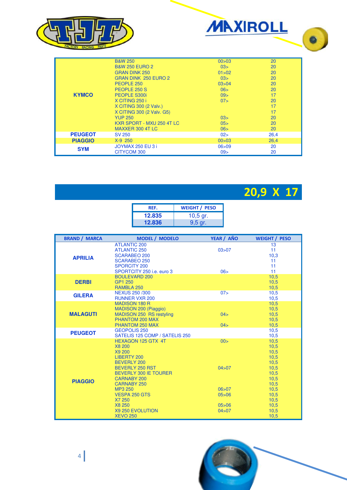



|                | <b>B&amp;W 250</b>        | 00 > 03 | 20   |
|----------------|---------------------------|---------|------|
|                | <b>B&amp;W 250 EURO 2</b> | 03>     | 20   |
|                | <b>GRAN DINK 250</b>      | 01 > 02 | 20   |
|                | GRAN DINK 250 EURO 2      | 03>     | 20   |
|                | PEOPLE 250                | 03 > 04 | 20   |
|                | PEOPLE 250 S              | 06>     | 20   |
| <b>KYMCO</b>   | <b>PEOPLE S300i</b>       | 09>     | 17   |
|                | X CITING 250 i            | 07>     | 20   |
|                | X CITING 300 (2 Valv.)    |         | 17   |
|                | X CITING 300 (2 Valv. G5) |         | 17   |
|                | <b>YUP 250</b>            | 03>     | 20   |
|                | KXR SPORT - MXU 250 4T LC | 05 >    | 20   |
|                | MAXXER 300 4T LC          | 06>     | 20   |
| <b>PEUGEOT</b> | <b>SV 250</b>             | 02>     | 26,4 |
| <b>PIAGGIO</b> | $X-9$ 250                 | 00 > 03 | 26,4 |
| <b>SYM</b>     | JOYMAX 250 EU 3 i         | 06 > 09 | 20   |
|                | CITYCOM 300               | 09>     | 20   |



| REF.   | <b>WEIGHT / PESO</b> |  |
|--------|----------------------|--|
| 12.835 | $10,5$ gr.           |  |
| 12.836 | $9,5$ gr.            |  |

| <b>BRAND / MARCA</b> | <b>MODEL / MODELO</b>                                                                                                                                                                                                                                                                         | YEAR / AÑO                                                  | <b>WEIGHT / PESO</b>                                                                                                 |
|----------------------|-----------------------------------------------------------------------------------------------------------------------------------------------------------------------------------------------------------------------------------------------------------------------------------------------|-------------------------------------------------------------|----------------------------------------------------------------------------------------------------------------------|
| <b>APRILIA</b>       | <b>ATLANTIC 200</b><br><b>ATLANTIC 250</b><br><b>SCARABEO 200</b><br><b>SCARABEO 250</b><br><b>SPORCITY 200</b><br>SPORTCITY 250 i.e. euro 3                                                                                                                                                  | 03 > 07<br>06 >                                             | 13<br>11<br>10.3<br>11<br>11<br>11                                                                                   |
| <b>DERBI</b>         | <b>BOULEVARD 200</b><br>GP1 250<br>RAMBLA 250                                                                                                                                                                                                                                                 |                                                             | 10,5<br>10,5<br>10,5                                                                                                 |
| <b>GILERA</b>        | <b>NEXUS 250/300</b><br><b>RUNNER VXR 200</b>                                                                                                                                                                                                                                                 | 07 >                                                        | 10,5<br>10,5                                                                                                         |
| <b>MALAGUTI</b>      | <b>MADISON 180 R</b><br><b>MADISON 200 (Piaggio)</b><br>MADISON 250 RS restyling<br>PHANTOM 200 MAX<br>PHANTOM 250 MAX                                                                                                                                                                        | 04><br>04>                                                  | 10,5<br>10,5<br>10,5<br>10,5<br>10,5                                                                                 |
| <b>PEUGEOT</b>       | <b>GEOPOLIS 250</b><br>SATELIS 125 COMP / SATELIS 250                                                                                                                                                                                                                                         |                                                             | 10,5<br>10,5                                                                                                         |
| <b>PIAGGIO</b>       | HEXAGON 125 GTX 4T<br>X8 200<br>X9 200<br><b>LIBERTY 200</b><br><b>BEVERLY 200</b><br><b>BEVERLY 250 RST</b><br><b>BEVERLY 300 IE TOURER</b><br><b>CARNABY 200</b><br><b>CARNABY 250</b><br><b>MP3 250</b><br><b>VESPA 250 GTS</b><br>X7 250<br>X8 250<br>X9 250 EVOLUTION<br><b>XEVO 250</b> | 00 ><br>04 > 07<br>06 > 07<br>05 > 06<br>05 > 06<br>04 > 07 | 10,5<br>10,5<br>10,5<br>10,5<br>10,5<br>10,5<br>10,5<br>10,5<br>10,5<br>10,5<br>10,5<br>10,5<br>10,5<br>10,5<br>10,5 |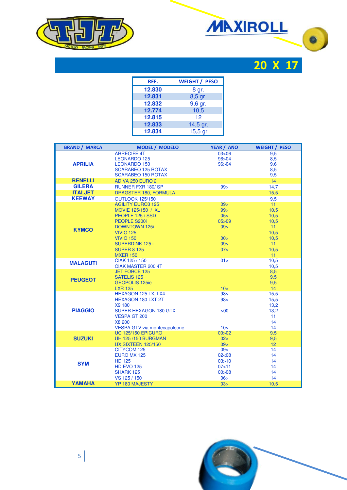





| REF.   | <b>WEIGHT / PESO</b> |  |
|--------|----------------------|--|
| 12.830 | 8 gr.                |  |
| 12.831 | 8,5 gr.              |  |
| 12.832 | 9,6 gr.              |  |
| 12.774 | 10,5                 |  |
| 12.815 | 12                   |  |
| 12.833 | 14,5 gr.             |  |
| 12.834 | 15,5 gr              |  |

| <b>BRAND / MARCA</b> | <b>MODEL / MODELO</b>                                   | YEAR / AÑO         | <b>WEIGHT / PESO</b> |
|----------------------|---------------------------------------------------------|--------------------|----------------------|
|                      | <b>ARRECIFE 4T</b>                                      | 03 > 06            | 9,5                  |
|                      | <b>LEONARDO 125</b>                                     | 96 > 04            | 8,5                  |
| <b>APRILIA</b>       | <b>LEONARDO 150</b>                                     | 96 > 04            | 9,6                  |
|                      | <b>SCARABEO 125 ROTAX</b>                               |                    | 8,5                  |
|                      | <b>SCARABEO 150 ROTAX</b>                               |                    | 9,5                  |
| <b>BENELLI</b>       | <b>ADIVA 250 EURO 2</b>                                 |                    | 14                   |
| <b>GILERA</b>        | <b>RUNNER FXR 180/SP</b>                                | 99 >               | 14,7                 |
| <b>ITALJET</b>       | <b>DRAGSTER 180, FORMULA</b>                            |                    | 15,5                 |
| <b>KEEWAY</b>        | <b>OUTLOOK 125/150</b>                                  |                    | 9,5                  |
|                      | <b>AGILITY EURO3 125</b>                                | 09                 | 11                   |
|                      | MOVIE 125/150 / XL                                      | 99                 | 10,5                 |
|                      | PEOPLE 125 / SSD                                        | 05 <sub>5</sub>    | 10,5                 |
|                      | PEOPLE S200i                                            | 05 > 09            | 10,5                 |
| <b>KYMCO</b>         | <b>DOWNTOWN 125i</b>                                    | 09>                | 11                   |
|                      | <b>VIVIO 125</b>                                        |                    | 10,5                 |
|                      | <b>VIVIO 150</b>                                        | 00>                | 10,5                 |
|                      | <b>SUPERDINK 125 i</b>                                  | 09 >               | 11                   |
|                      | <b>SUPER 8 125</b>                                      | 07 >               | 10,5                 |
|                      | <b>MXER 150</b>                                         |                    | 11                   |
| <b>MALAGUTI</b>      | CIAK 125 / 150                                          | 01>                | 10,5                 |
|                      | CIAK MASTER 200 4T                                      |                    | 10,5                 |
|                      | <b>JET FORCE 125</b>                                    |                    | 8,5                  |
| <b>PEUGEOT</b>       | <b>SATELIS 125</b>                                      |                    | 9,5                  |
|                      | <b>GEOPOLIS 125ie</b>                                   |                    | 9,5                  |
|                      | <b>LXR 125</b>                                          | 10 <sub>&gt;</sub> | 14                   |
|                      | HEXAGON 125 LX, LX4                                     | 98 >               | 15,5                 |
|                      | <b>HEXAGON 180 LXT 2T</b>                               | 98 >               | 15,5                 |
|                      | X9 180                                                  |                    | 13,2                 |
| <b>PIAGGIO</b>       | <b>SUPER HEXAGON 180 GTX</b>                            | >00                | 13.2                 |
|                      | <b>VESPA GT 200</b>                                     |                    | 11                   |
|                      | X8 200                                                  |                    | 14                   |
|                      | VESPA GTV via montecapoleone                            | 10 <sub>&gt;</sub> | 14                   |
|                      | <b>UC 125/150 EPICURO</b>                               | 00 > 02<br>02 >    | 9,5                  |
| <b>SUZUKI</b>        | <b>UH 125 /150 BURGMAN</b><br><b>UX SIXTEEN 125/150</b> | 09 >               | 9,5<br>12            |
|                      | CITYCOM 125                                             | 09                 | 14                   |
|                      | EURO MX 125                                             | 02<08              | 14                   |
|                      | <b>HD 125</b>                                           | 03 > 10            | 14                   |
| <b>SYM</b>           | <b>HD EVO 125</b>                                       | 07 > 11            | 14                   |
|                      | <b>SHARK 125</b>                                        | 00 > 08            | 14                   |
|                      |                                                         | 06 >               | 14                   |
|                      | VS 125 / 150                                            |                    |                      |
| <b>YAMAHA</b>        | <b>YP 180 MAJESTY</b>                                   | 03>                | 10.5                 |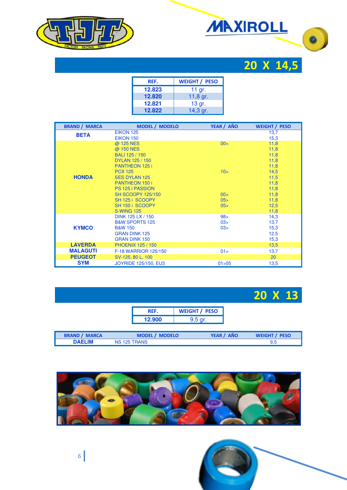





| REF.   | <b>WEIGHT / PESO</b> |  |
|--------|----------------------|--|
| 12.823 | 11 gr.               |  |
| 12.820 | 11,8 $gr.$           |  |
| 12.821 | 13 gr.               |  |
| 12.822 | 14,3 gr.             |  |

| <b>BRAND / MARCA</b> | <b>MODEL / MODELO</b>       | YEAR / AÑO         | <b>WEIGHT / PESO</b> |
|----------------------|-----------------------------|--------------------|----------------------|
| <b>BETA</b>          | EIKON 125                   |                    | 13,7                 |
|                      | <b>EIKON 150</b>            |                    | 15,3                 |
|                      | @ 125 NES                   | 00>                | 11.8                 |
|                      | @ 150 NES                   |                    | 11.8                 |
|                      | <b>BALI 125 / 150</b>       |                    | 11,8                 |
|                      | DYLAN 125 / 150             |                    | 11,8                 |
|                      | PANTHEON 125 i              |                    | 11,8                 |
|                      | <b>PCX 125</b>              | 10 <sub>&gt;</sub> | 14,5                 |
| <b>HONDA</b>         | <b>SES DYLAN 125</b>        |                    | 11,5                 |
|                      | PANTHEON 150 i              |                    | 11,8                 |
|                      | <b>PS 125 i PASSION</b>     |                    | 11,8                 |
|                      | <b>SH SCOOPY 125/150</b>    | 00>                | 11,8                 |
|                      | SH 125 i SCOOPY             | 05 <sub>5</sub>    | 11,8                 |
|                      | SH 150 i SCOOPY             | 05                 | 12,5                 |
|                      | <b>S-WING 125</b>           |                    | 11,8                 |
|                      | DINK 125 LX / 150           | 98 >               | 14,3                 |
|                      | <b>B&amp;W SPORTS 125</b>   | 03>                | 13,7                 |
| <b>KYMCO</b>         | <b>B&amp;W 150</b>          | 03>                | 15,3                 |
|                      | <b>GRAN DINK 125</b>        |                    | 12,5                 |
|                      | <b>GRAN DINK 150</b>        |                    | 15,3                 |
| <b>LAVERDA</b>       | <b>PHOENIX 125 / 150</b>    |                    | 13,5                 |
| <b>MALAGUTI</b>      | F-18 WARRIOR 125/150        | 01 >               | 13,7                 |
| <b>PEUGEOT</b>       | SV-125, 80 L, 100           |                    | 20                   |
| <b>SYM</b>           | <b>JOYRIDE 125/150, EU3</b> | 01 > 05            | 13,5                 |

# **20 X 13**

| REF.   | <b>WEIGHT / PESO</b> |
|--------|----------------------|
| 12.900 | $9,5$ gr.            |

| <b>BRAND / MARCA</b> | <b>MODEL / MODELO</b> | YEAR / AÑO | <b>WEIGHT / PESO</b> |
|----------------------|-----------------------|------------|----------------------|
| <b>DAELIM</b>        | NS 125 TRANS          |            |                      |

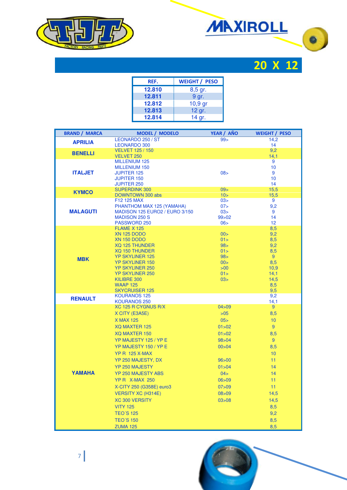





| REF.   | <b>WEIGHT / PESO</b> |  |
|--------|----------------------|--|
| 12.810 | 8,5 gr.              |  |
| 12.811 | 9 gr.                |  |
| 12.812 | $10,9$ gr            |  |
| 12.813 | 12 gr.               |  |
| 12.814 | 14 gr.               |  |

| <b>BRAND / MARCA</b> | <b>MODEL / MODELO</b>                        | YEAR / AÑO                 | <b>WEIGHT / PESO</b> |
|----------------------|----------------------------------------------|----------------------------|----------------------|
| <b>APRILIA</b>       | LEONARDO 250 / ST                            | 99 >                       | 14,2                 |
|                      | <b>LEONARDO 300</b>                          |                            | 14                   |
| <b>BENELLI</b>       | <b>VELVET 125 / 150</b><br><b>VELVET 250</b> |                            | 9,2<br>14,1          |
|                      | <b>MILLENIUM 125</b>                         |                            | 9                    |
|                      | <b>MILLENIUM 150</b>                         |                            | 10                   |
| <b>ITALJET</b>       | <b>JUPITER 125</b>                           | 08 >                       | 9                    |
|                      | <b>JUPITER 150</b>                           |                            | 10                   |
|                      | <b>JUPITER 250</b>                           |                            | 14                   |
| <b>KYMCO</b>         | <b>SUPERDINK 300</b><br>DOWNTOWN 300 abs     | 09 ><br>10 <sub>&gt;</sub> | 15,5<br>15,5         |
|                      | F12 125 MAX                                  | 03>                        | 9                    |
|                      | PHANTHOM MAX 125 (YAMAHA)                    | 07 >                       | 9,2                  |
| <b>MALAGUTI</b>      | <b>MADISON 125 EURO2 / EURO 3/150</b>        | 03>                        | 9                    |
|                      | <b>MADISON 250 S</b>                         | 99 > 02                    | 14                   |
|                      | PASSWORD 250                                 | 06 >                       | 12                   |
|                      | <b>FLAME X 125</b><br><b>XN 125 DODO</b>     | 00 >                       | 8,5<br>9.2           |
|                      | <b>XN 150 DODO</b>                           | 01 >                       | 8,5                  |
|                      | <b>XQ 125 THUNDER</b>                        | 98 >                       | 9,2                  |
|                      | <b>XQ 150 THUNDER</b>                        | 01>                        | 8,5                  |
| <b>MBK</b>           | <b>YP SKYLINER 125</b>                       | 98 >                       | 9                    |
|                      | <b>YP SKYLINER 150</b>                       | 00>                        | 8,5                  |
|                      | <b>YP SKYLINER 250</b>                       | >00                        | 10,9                 |
|                      | <b>YP SKYLINER 250</b><br>KILIBRE 300        | 01 ><br>03>                | 14.1<br>14,5         |
|                      | <b>WAAP 125</b>                              |                            | 8,5                  |
|                      | <b>SKYCRUISER 125</b>                        |                            | 9,5                  |
| <b>RENAULT</b>       | <b>KOURANOS 125</b>                          |                            | 9,2                  |
|                      | <b>KOURANOS 250</b>                          |                            | 14,1                 |
|                      | XC 125 R CYGNUS R/X                          | 04 > 09                    | 9                    |
|                      | X CITY (E3A5E)                               | $>05$                      | 8,5                  |
|                      | <b>X MAX 125</b>                             | 05                         | 10                   |
|                      | <b>XQ MAXTER 125</b>                         | 01 > 02                    | 9                    |
|                      | <b>XQ MAXTER 150</b>                         | 01 > 02                    | 8,5                  |
|                      | YP MAJESTY 125 / YP E                        | 98 > 04                    | $9^{\circ}$          |
|                      | YP MAJESTY 150 / YP E                        | 00 > 04                    | 8,5                  |
|                      | <b>YP R 125 X-MAX</b>                        |                            | 10                   |
|                      | YP 250 MAJESTY, DX                           | 96 > 00                    | 11                   |
|                      | <b>YP 250 MAJESTY</b>                        | 01 > 04                    | 14                   |
| <b>YAMAHA</b>        | <b>YP 250 MAJESTY ABS</b>                    | 04>                        | 14                   |
|                      | <b>YP R X-MAX 250</b>                        | 06 > 09                    | 11                   |
|                      | X-CITY 250 (G358E) euro3                     | 07 > 09                    | 11                   |
|                      | <b>VERSITY XC (H314E)</b>                    | 08 > 09                    | 14,5                 |
|                      | <b>XC 300 VERSITY</b>                        | 03 > 08                    | 14,5                 |
|                      | <b>VITY 125</b>                              |                            | 8,5                  |
|                      | <b>TEO'S 125</b>                             |                            | 9,2                  |
|                      | <b>TEO'S 150</b>                             |                            | 8,5                  |
|                      | <b>ZUMA 125</b>                              |                            | 8,5                  |

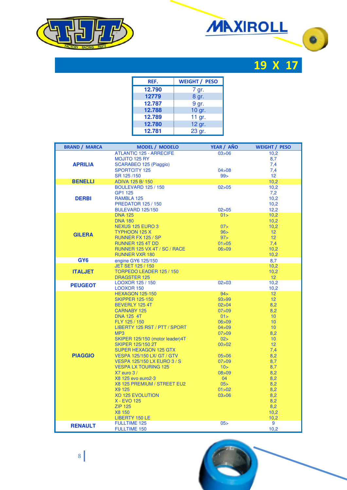





| REF.   | <b>WEIGHT / PESO</b> |  |
|--------|----------------------|--|
| 12.790 | 7 gr.                |  |
| 12779  | 8 gr.                |  |
| 12.787 | 9 gr.                |  |
| 12.788 | 10 gr.               |  |
| 12.789 | 11 gr.               |  |
| 12.780 | 12 gr.               |  |
| 12.781 | 23 gr.               |  |

| <b>BRAND / MARCA</b> | <b>MODEL / MODELO</b>                 | YEAR / AÑO         | <b>WEIGHT / PESO</b>    |
|----------------------|---------------------------------------|--------------------|-------------------------|
|                      | <b>ATLANTIC 125 - ARRECIFE</b>        | 03 > 06            | 10,2                    |
|                      | <b>MOJITO 125 RY</b>                  |                    | 8,7                     |
| <b>APRILIA</b>       | SCARABEO 125 (Piaggio)                |                    | 7,4                     |
|                      | <b>SPORTCITY 125</b>                  | 04 > 08            | 7,4                     |
|                      | SR 125/150                            | 99 >               | 12 <sup>2</sup>         |
| <b>BENELLI</b>       | ADIVA 125 B/150                       |                    | 10.2                    |
|                      | <b>BOULEVARD 125 / 150</b>            | 02 > 05            | 10,2                    |
|                      | GP1 125                               |                    | 7,2                     |
| <b>DERBI</b>         | RAMBLA 125                            |                    | 10,2                    |
|                      | <b>PREDATOR 125 / 150</b>             |                    | 10,2                    |
|                      | <b>BULEVARD 125/150</b>               | 02 > 05            | 12,2                    |
|                      | <b>DNA 125</b>                        | 01                 | 10,2                    |
|                      | <b>DNA 180</b>                        |                    | 10,2                    |
|                      | <b>NEXUS 125 EURO 3</b>               | 07                 | 10.2                    |
| <b>GILERA</b>        | <b>TYPHOON 125 X</b>                  | 96 >               | 12                      |
|                      | RUNNER FX 125 / SP                    | 97 >               | 12 <sup>2</sup>         |
|                      | <b>RUNNER 125 4T DD</b>               | 01 > 05            | 7,4                     |
|                      | RUNNER 125 VX 4T / SC / RACE          | 06 > 09            | 10,2                    |
|                      | <b>RUNNER VXR 180</b>                 |                    | 10,2                    |
| GY <sub>6</sub>      | engine GY6 125/150                    |                    | 8,7                     |
|                      | JET SET 125 / 150                     |                    | 10.2                    |
| <b>ITALJET</b>       | TORPEDO LEADER 125 / 150              |                    | 10,2                    |
|                      | <b>DRAGSTER 125</b>                   |                    | 12 <sup>2</sup>         |
| <b>PEUGEOT</b>       | LOOXOR 125 / 150<br><b>LOOXOR 150</b> | 02 > 03            | 10,2                    |
|                      | <b>HEXAGON 125-150</b>                | 94>                | 10.2<br>12 <sup>2</sup> |
|                      | <b>SKIPPER 125-150</b>                | 93 > 99            | 12 <sup>°</sup>         |
|                      | <b>BEVERLY 125 4T</b>                 | 02 > 04            | 8,2                     |
|                      | <b>CARNABY 125</b>                    | 07 > 09            | 8,2                     |
|                      | <b>DNA 125 4T</b>                     | 01                 | 10                      |
|                      | FLY 125 / 150                         | 06 > 09            | 10                      |
|                      | LIBERTY 125 RST / PTT / SPORT         | 04 > 09            | 10                      |
|                      | MP <sub>3</sub>                       | 07 > 09            | 8,2                     |
|                      | SKIPER 125/150 (motor leader) 4T      | 02>                | 10                      |
|                      | <b>SKIPER 125/150 2T</b>              | 00 > 02            | 12                      |
|                      | <b>SUPER HEXAGON 125 GTX</b>          |                    | 7,4                     |
| <b>PIAGGIO</b>       | <b>VESPA 125/150 LX/ GT / GTV</b>     | 05 > 06            | 8,2                     |
|                      | <b>VESPA 125/150 LX EURO 3 / S</b>    | 07 > 09            | 8,7                     |
|                      | <b>VESPA LX TOURING 125</b>           | 10 <sub>&gt;</sub> | 8,7                     |
|                      | $X7$ euro $3/$                        | 08 > 09            | 8,2                     |
|                      | X8 125 evo euro2-3                    | 04                 | 8,2                     |
|                      | X8 125 PREMIUM / STREET EU2           | 05                 | 8,2                     |
|                      | X9 125                                | 01 > 02            | 8,2                     |
|                      | <b>XO 125 EVOLUTION</b>               | 03 > 06            | 8,2                     |
|                      | X - EVO 125                           |                    | 8,2                     |
|                      | <b>ZIP 125</b>                        |                    | 8,2                     |
|                      | X8 150                                |                    | 10,2                    |
|                      | <b>LIBERTY 150 LE</b>                 |                    | 10.2                    |
|                      | <b>FULLTIME 125</b>                   | 05                 | 9                       |
| <b>RENAULT</b>       | <b>FULLTIME 150</b>                   |                    | 10,2                    |

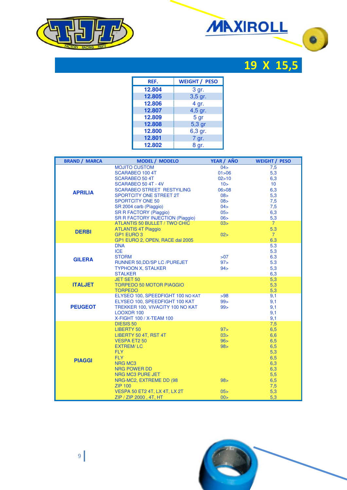





| REF.   | <b>WEIGHT / PESO</b> |  |
|--------|----------------------|--|
| 12.804 | 3 gr.                |  |
| 12.805 | $3,5$ gr.            |  |
| 12.806 | 4 gr.                |  |
| 12.807 | 4,5 gr.              |  |
| 12.809 | 5 gr                 |  |
| 12.808 | 5,3 gr               |  |
| 12.800 | 6,3 gr.              |  |
| 12.801 | 7 gr.                |  |
| 12.802 | 8 gr.                |  |

| <b>BRAND / MARCA</b> | <b>MODEL / MODELO</b>                   | YEAR / AÑO         | <b>WEIGHT / PESO</b> |
|----------------------|-----------------------------------------|--------------------|----------------------|
|                      | <b>MOJITO CUSTOM</b>                    | 04>                | 7,5                  |
|                      | SCARABEO 100 4T                         | 01 > 06            | 5,3                  |
|                      | <b>SCARABEO 50 4T</b>                   | 02 > 10            | 6,3                  |
|                      | SCARABEO 50 4T - 4V                     | 10 <sub>&gt;</sub> | 10                   |
| <b>APRILIA</b>       | <b>SCARABEO STREET RESTYILING</b>       | 06 > 08            | 6,3                  |
|                      | <b>SPORTCITY ONE STREET 2T</b>          | 08                 | 5,3                  |
|                      | <b>SPORTCITY ONE 50</b>                 | 08 >               | 7,5                  |
|                      | SR 2004 carb (Piaggio)                  | 04>                | 7,5                  |
|                      | <b>SR R FACTORY (Piaggio)</b>           | 05                 | 6,3                  |
|                      | <b>SR R FACTORY INJECTION (Piaggio)</b> | 06 >               | 5,3                  |
|                      | <b>ATLANTIS 50 BULLET / TWO CHIC</b>    | 03>                | $\overline{7}$       |
| <b>DERBI</b>         | <b>ATLANTIS 4T Piaggio</b>              |                    | 5.3                  |
|                      | <b>GP1 EURO 3</b>                       | 02 >               | $\overline{7}$       |
|                      | GP1 EURO 2, OPEN, RACE dal 2005         |                    | 6.3                  |
|                      | <b>DNA</b>                              |                    | 5.3                  |
|                      | <b>ICE</b>                              |                    | 5.3                  |
| <b>GILERA</b>        | <b>STORM</b>                            | >07                | 6.3                  |
|                      | RUNNER 50, DD/SP LC / PUREJET           | 97 <sub>&gt;</sub> | 5.3                  |
|                      | <b>TYPHOON X, STALKER</b>               | 94>                | 5,3                  |
|                      | <b>STALKER</b>                          |                    | 6,3                  |
|                      | <b>JET SET 50</b>                       |                    | 5.3                  |
| <b>ITALJET</b>       | <b>TORPEDO 50 MOTOR PIAGGIO</b>         |                    | 5,3                  |
|                      | <b>TORPEDO</b>                          |                    | 5,3                  |
|                      | ELYSEO 100, SPEEDFIGHT 100 NO KAT       | >98                | 9,1                  |
|                      | ELYSEO 100, SPEEDFIGHT 100 KAT          | 99                 | 9,1                  |
| <b>PEUGEOT</b>       | TREKKER 100, VIVACITY 100 NO KAT        | 99                 | 9,1                  |
|                      | LOOXOR 100                              |                    | 9,1                  |
|                      | X-FIGHT 100 / X-TEAM 100                |                    | 9,1                  |
|                      | <b>DIESIS 50</b>                        |                    | 7,5                  |
|                      | <b>LIBERTY 50</b>                       | 97 >               | 6,5                  |
|                      | LIBERTY 50 4T, RST 4T                   | 03>                | 6,6                  |
|                      | <b>VESPA ET2 50</b>                     | 96>                | 6,5                  |
|                      | <b>EXTREM/LC</b>                        | 98 >               | 6,5                  |
|                      | <b>FLY</b>                              |                    | 5,3                  |
| <b>PIAGGI</b>        | <b>FLY</b>                              |                    | 6,5                  |
|                      | <b>NRG MC3</b>                          |                    | 6,3                  |
|                      | <b>NRG POWER DD</b>                     |                    | 6,3                  |
|                      | <b>NRG MC3 PURE JET</b>                 |                    | 5,5                  |
|                      | NRG-MC2, EXTREME DD (98                 | 98 >               | 6,5                  |
|                      | <b>ZIP 100</b>                          |                    | 7,5                  |
|                      | VESPA 50 ET2 4T, LX 4T, LX 2T           | 05 <sub>5</sub>    | 5,3                  |
|                      | ZIP / ZIP 2000, 4T, HT                  | 00>                | 5.3                  |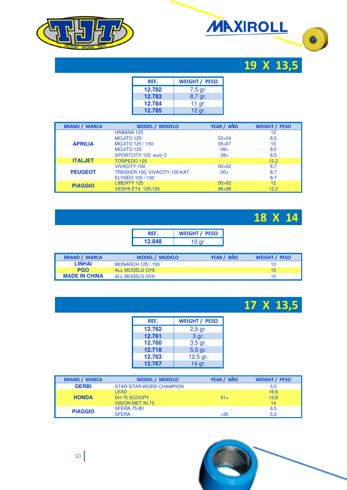





| REF.   | <b>WEIGHT / PESO</b> |  |
|--------|----------------------|--|
| 12.782 | 7,5 gr.              |  |
| 12.783 | 8,7 gr.              |  |
| 12.784 | 11 gr.               |  |
| 12.785 | 12 gr.               |  |

| <b>BRAND / MARCA</b> | <b>MODEL / MODELO</b>         | YEAR / AÑO | <b>WEIGHT / PESO</b> |
|----------------------|-------------------------------|------------|----------------------|
|                      | <b>HABANA 125</b>             |            | 12                   |
|                      | <b>MOJITO 125</b>             | 03 > 04    | 8,5                  |
| <b>APRILIA</b>       | <b>MOJITO 125 / 150</b>       | 05 > 07    | 10                   |
|                      | <b>MOJITO 125</b>             | 08>        | 8,5                  |
|                      | SPORTCITY 125 euro 3          | 08>        | 8,5                  |
| <b>ITALJET</b>       | <b>TORPEDO 125</b>            |            | 12.2                 |
|                      | <b>VIVACITY 100</b>           | 00 > 02    | 8,7                  |
| <b>PEUGEOT</b>       | TREKKER 100, VIVACITY 100 KAT | 00>        | 8,7                  |
|                      | ELYSEO 125 / 150              |            | 8,7                  |
| <b>PIAGGIO</b>       | LIBERTY 125                   | 00 > 02    | 12                   |
|                      | <b>VESPA ET4 125/150</b>      | 96 > 98    | 12.2                 |

| 18 | W<br><b>AN</b> | 14 |
|----|----------------|----|
|    |                |    |

| RFF.   | <b>WEIGHT / PESO</b> |
|--------|----------------------|
| 12.848 | $10$ ar.             |

| <b>BRAND / MARCA</b> | <b>MODEL / MODELO</b>    | YEAR / AÑO | <b>WEIGHT / PESO</b> |
|----------------------|--------------------------|------------|----------------------|
| <b>LINHAI</b>        | <b>MONARCH 125 / 150</b> |            |                      |
| <b>PGO</b>           | ALL MODELS GY6           |            | 10                   |
| <b>MADE IN CHINA</b> | ALL MODELS GY6           |            | 10                   |



| REF.   | <b>WEIGHT / PESO</b> |
|--------|----------------------|
| 12.762 | 2,5 gr.              |
| 12.761 | 3 gr.                |
| 12.760 | 3,5 gr.              |
| 12.718 | 5,5 gr.              |
| 12.763 | 12,5 gr.             |
| 12.767 | 14 gr.               |

| <b>BRAND / MARCA</b> | <b>MODEL / MODELO</b>          | YEAR / AÑO | <b>WEIGHT / PESO</b> |
|----------------------|--------------------------------|------------|----------------------|
| <b>DERBI</b>         | <b>STAR-STAR WORD CHAMPION</b> |            | 5,5                  |
|                      | <b>LEAD</b>                    |            | 16,6                 |
| <b>HONDA</b>         | SH 75 SCOOPY                   | 91 >       | 15,8                 |
|                      | <b>VISION MET IN 75</b>        |            | 14                   |
| <b>PIAGGIO</b>       | <b>SFERA 75-80</b>             |            | 6,5                  |
|                      | <b>SFERA</b>                   | >95        | 5,2                  |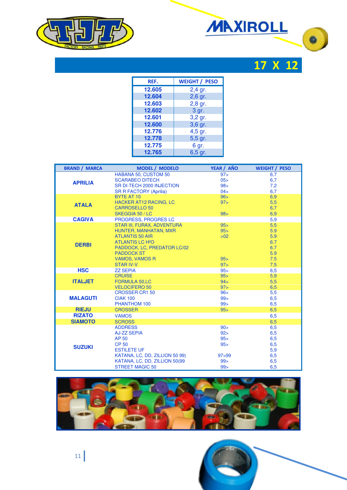





| REF.   | <b>WEIGHT / PESO</b> |
|--------|----------------------|
| 12.605 | 2,4 gr.              |
| 12.604 | 2,6 gr.              |
| 12.603 | 2,8 gr.              |
| 12.602 | 3 gr.                |
| 12.601 | 3,2 gr.              |
| 12.600 | 3,6 gr.              |
| 12.776 | 4,5 gr.              |
| 12.778 | 5,5 gr.              |
| 12.775 | 6 gr.                |
| 12.765 | 6,5 gr.              |

| <b>BRAND / MARCA</b> | <b>MODEL / MODELO</b>                            | YEAR / AÑO      | <b>WEIGHT / PESO</b> |
|----------------------|--------------------------------------------------|-----------------|----------------------|
|                      | <b>HABANA 50, CUSTOM 50</b>                      | 97 >            | 6,7                  |
| <b>APRILIA</b>       | <b>SCARABEO DITECH</b>                           | 05              | 6,7                  |
|                      | SR DI-TECH 2000 INJECTION                        | 98 >            | 7,2                  |
|                      | <b>SR R FACTORY (Aprilia)</b>                    | 04>             | 6,7                  |
|                      | BYTE AT 10                                       | 96 >            | 6,9                  |
| <b>ATALA</b>         | <b>HACKER AT12 RACING, LC</b>                    | 97 >            | 5,5                  |
|                      | <b>CARROSELLO 50</b>                             |                 | 6,7                  |
|                      | <b>SKEGGIA 50 / LC</b>                           | 98 >            | 6,9                  |
| <b>CAGIVA</b>        | PROGRESS, PROGRES LC                             |                 | 5,9                  |
|                      | STAR III, FURAX, ADVENTURA                       | 95              | 5,5                  |
|                      | HUNTER, MANHATAN, MXR                            | 95 >            | 5.9                  |
|                      | <b>ATLANTIS 50 AIR</b>                           | $>02$           | 5.9                  |
| <b>DERBI</b>         | <b>ATLANTIS LC H<sub>2</sub>O</b>                |                 | 6.7                  |
|                      | PADDOCK, LC, PREDATOR LC/02<br><b>PADDOCK ST</b> |                 | 6.7                  |
|                      |                                                  |                 | 5.9                  |
|                      | <b>VAMOS, VAMOS R</b><br><b>STAR IV-V</b>        | 95 ><br>97 >    | 7.5<br>7,5           |
| <b>HSC</b>           | <b>ZZ SEPIA</b>                                  | 95 <sub>5</sub> | 6,5                  |
|                      | <b>CRUISE</b>                                    | 95              | 5,9                  |
| <b>ITALJET</b>       | <b>FORMULA 50,LC</b>                             | 94>             | 5,5                  |
|                      | <b>VELOCIFERO 50</b>                             | 97 >            | 6,5                  |
|                      | CROSSER CR1 50                                   | 96 >            | 5,5                  |
| <b>MALAGUTI</b>      | <b>CIAK 100</b>                                  | 99              | 6,5                  |
|                      | PHANTHOM 100                                     | 99              | 6,5                  |
| <b>RIEJU</b>         | <b>CROSSER</b>                                   | 95 >            | 6,5                  |
| <b>RIZATO</b>        | <b>VAMOS</b>                                     |                 | 6,5                  |
| <b>SIAMOTO</b>       | <b>SCROSS</b>                                    |                 | 6,5                  |
|                      | <b>ADDRESS</b>                                   | 90 >            | 6,5                  |
|                      | <b>AJ-ZZ SEPIA</b>                               | 92              | 6,5                  |
|                      | AP 50                                            | 95 <sub>5</sub> | 6,5                  |
| <b>SUZUKI</b>        | <b>CP 50</b>                                     | 95 <sub>5</sub> | 6,5                  |
|                      | <b>ESTILETE UF</b>                               |                 | 5,9                  |
|                      | KATANA, LC, DD, ZILLION 50 99)                   | 97 > 99         | 6,5                  |
|                      | KATANA, LC, DD, ZILLION 50(99                    | 99 >            | 6,5                  |
|                      | <b>STREET MAGIC 50</b>                           | 99 >            | 6,5                  |

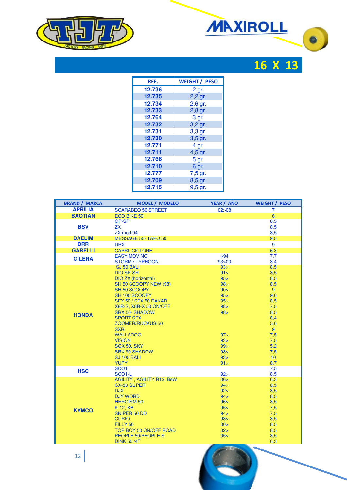





| REF.   | <b>WEIGHT / PESO</b> |  |  |
|--------|----------------------|--|--|
| 12.736 | 2 gr.                |  |  |
| 12.735 | 2,2 gr.              |  |  |
| 12.734 | 2,6 gr.              |  |  |
| 12.733 | 2,8 gr.              |  |  |
| 12.764 | 3 gr.                |  |  |
| 12.732 | 3,2 gr.              |  |  |
| 12.731 | 3,3 gr.              |  |  |
| 12.730 | 3,5 gr.              |  |  |
| 12.771 | 4 gr.                |  |  |
| 12.711 | 4,5 gr.              |  |  |
| 12.766 | 5 gr.                |  |  |
| 12.710 | 6 gr.                |  |  |
| 12.777 | 7,5 gr.              |  |  |
| 12.709 | 8,5 gr.              |  |  |
| 12.715 | 9,5 gr.              |  |  |

| <b>BRAND / MARCA</b> | <b>MODEL / MODELO</b>                                   | YEAR / AÑO | <b>WEIGHT / PESO</b> |
|----------------------|---------------------------------------------------------|------------|----------------------|
| <b>APRILIA</b>       | <b>SCARABEO 50 STREET</b>                               | 02 > 08    | $\overline{7}$       |
| <b>BAOTIAN</b>       | <b>ECO BIKE 50</b>                                      |            | 6                    |
|                      | GP-SP                                                   |            | 8,5                  |
| <b>BSV</b>           | <b>ZX</b>                                               |            | 8,5                  |
|                      | ZX mod.94                                               |            | 8,5                  |
| <b>DAELIM</b>        | MESSAGE 50- TAPO 50                                     |            | 9,5                  |
| <b>DRR</b>           | <b>DRX</b>                                              |            | 9                    |
| <b>GARELLI</b>       | <b>CAPRI, CICLONE</b>                                   |            | 6.3                  |
| <b>GILERA</b>        | <b>EASY MOVING</b>                                      | >94        | 7.7                  |
|                      | <b>STORM / TYPHOON</b>                                  | 93 > 00    | 8.4                  |
|                      | SJ 50 BALI                                              | 93>        | 8,5                  |
|                      | <b>DIO SP-SR</b>                                        | 91>        | 8,5                  |
|                      | DIO ZX (horizontal)                                     | 95         | 8,5                  |
|                      | SH 50 SCOOPY NEW (98)                                   | 98 >       | 8,5                  |
|                      | SH 50 SCOOPY                                            | 90 >       | 9                    |
|                      | SH 100 SCOOPY                                           | 95 >       | 9,6                  |
|                      | SFX 50 / SFX 50 DAKAR                                   | 95 >       | 8,5                  |
|                      | X8R-S, X8R-X 50 ON/OFF                                  | 98 >       | 7,5                  |
| <b>HONDA</b>         | <b>SRX 50- SHADOW</b>                                   | 98 >       | 8,5                  |
|                      | <b>SPORT SFX</b>                                        |            | 8,4                  |
|                      | <b>ZOOMER/RUCKUS 50</b>                                 |            | 5,6                  |
|                      | <b>SXR</b>                                              |            | 9                    |
|                      | <b>WALLAROO</b>                                         | 97 >       | 7,5                  |
|                      | <b>VISION</b>                                           | 93 >       | 7,5                  |
|                      | <b>SGX 50, SKY</b>                                      | 99 >       | 5,2                  |
|                      | <b>SRX 90 SHADOW</b>                                    | 98 >       | 7,5                  |
|                      | <b>SJ 100 BALI</b>                                      | 93>        | 10                   |
|                      | <b>YUPY</b>                                             | 91>        | 8,7                  |
| <b>HSC</b>           | SCO <sub>1</sub>                                        | 92>        | 7,5                  |
|                      | SCO <sub>1</sub> -L<br><b>AGILITY, AGILITY R12, BeW</b> | 06 >       | 8,5<br>6,3           |
|                      | <b>CX-50 SUPER</b>                                      | 94>        | 8,5                  |
|                      | <b>DJX</b>                                              | 92>        | 8,5                  |
|                      | <b>DJY WORD</b>                                         | 94>        | 8,5                  |
|                      | <b>HEROISM 50</b>                                       | 96>        | 8,5                  |
|                      | <b>K-12, KB</b>                                         | 95 >       | 7.5                  |
| <b>KYMCO</b>         | <b>SNIPER 50 DD</b>                                     | 94>        | 7,5                  |
|                      | <b>CURIO</b>                                            | 98 >       | 8,5                  |
|                      | FILLY <sub>50</sub>                                     | 00>        | 8,5                  |
|                      | TOP BOY 50 ON/OFF ROAD                                  | 02>        | 8,5                  |
|                      | <b>PEOPLE 50/PEOPLE S</b>                               | 05         | 8,5                  |
|                      | <b>DINK 50/4T</b>                                       |            | 6.3                  |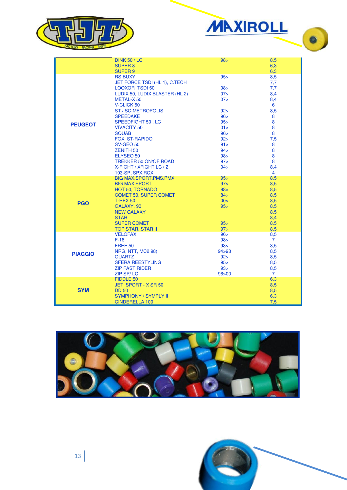



|                | <b>DINK 50 / LC</b>             | 98 >            | 8,5            |
|----------------|---------------------------------|-----------------|----------------|
|                | <b>SUPER 8</b>                  |                 | 6,3            |
|                | <b>SUPER 9</b>                  |                 | 6,3            |
|                | <b>RS BUXY</b>                  | 95              | 8,5            |
|                | JET FORCE TSDI (HL 1), C.TECH   |                 | 7,7            |
|                | <b>LOOXOR TSDI 50</b>           | 08 >            | 7,7            |
|                | LUDIX 50, LUDIX BLASTER (HL 2)  | 07              | 8,4            |
|                | <b>METAL-X50</b>                | 07 >            | 8,4            |
|                | <b>V-CLICK 50</b>               |                 | 6              |
|                | <b>ST / SC-METROPOLIS</b>       | 92>             | 8,5            |
|                | <b>SPEEDAKE</b>                 | 96>             | 8              |
|                | SPEEDFIGHT 50, LC               | 95              | 8              |
| <b>PEUGEOT</b> | <b>VIVACITY 50</b>              | 01 >            | 8              |
|                | <b>SQUAB</b>                    | 96 >            | 8              |
|                | FOX, ST-RAPIDO                  | 92>             | 7,5            |
|                | <b>SV-GEO 50</b>                | 91              | 8              |
|                | <b>ZENITH 50</b>                | 94 >            | 8              |
|                | ELYSEO 50                       | 98 >            | 8              |
|                | <b>TREKKER 50 ON/OF ROAD</b>    | 97 >            | 8              |
|                | X-FIGHT / XFIGHT LC / 2         | 04>             | 8,4            |
|                | 103-SP, SPX, RCX                |                 | $\overline{4}$ |
|                | <b>BIG MAX, SPORT, PMS, PMX</b> | 95 >            | 8,5            |
|                | <b>BIG MAX SPORT</b>            | 97 >            | 8,5            |
|                | <b>HOT 50, TORNADO</b>          | 98 >            | 8,5            |
|                | <b>COMET 50, SUPER COMET</b>    | 84>             | 8,5            |
|                | <b>T-REX 50</b>                 | 00>             | 8,5            |
| <b>PGO</b>     | GALAXY, 90                      | 95              |                |
|                |                                 |                 | 8,5            |
|                | <b>NEW GALAXY</b>               |                 | 8,5            |
|                | <b>STAR</b>                     |                 | 8,4            |
|                | <b>SUPER COMET</b>              | 95              | 8,5            |
|                | <b>TOP STAR, STAR II</b>        | 97 >            | 8,5            |
|                | <b>VELOFAX</b>                  | 96 >            | 8,5            |
|                | $F-18$                          | 98>             | $\overline{7}$ |
|                | <b>FREE 50</b>                  | 93 <sub>2</sub> | 8,5            |
| <b>PIAGGIO</b> | <b>NRG, NTT, MC2 98)</b>        | 94 > 98         | 8,5            |
|                | <b>QUARTZ</b>                   | 92              | 8,5            |
|                | <b>SFERA REESTYLING</b>         | 95 <sub>5</sub> | 8,5            |
|                | <b>ZIP FAST RIDER</b>           | 93>             | 8,5            |
|                | <b>ZIP SP/LC</b>                | 96 > 00         | $\overline{7}$ |
|                | FIDDLE 50                       |                 | 6,3            |
|                | <b>JET SPORT - X SR 50</b>      |                 | 8,5            |
| <b>SYM</b>     | <b>DD 50</b>                    |                 | 8,5            |
|                | <b>SYMPHONY / SYMPLY II</b>     |                 | 6,3            |
|                | <b>CINDERELLA 100</b>           |                 | 7,5            |

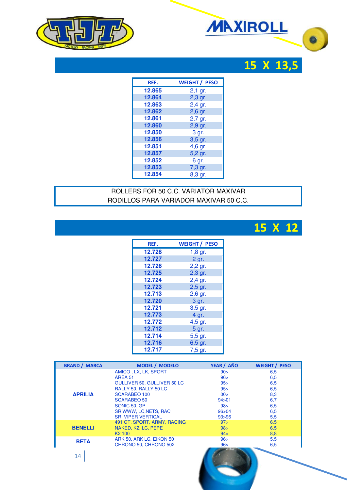





| REF.   | <b>WEIGHT / PESO</b> |  |  |
|--------|----------------------|--|--|
| 12.865 | $2,1$ gr.            |  |  |
| 12.864 | 2,3 gr.              |  |  |
| 12.863 | 2,4 gr.              |  |  |
| 12.862 | 2,6 gr.              |  |  |
| 12.861 | 2,7 gr.              |  |  |
| 12.860 | 2,9 gr.              |  |  |
| 12.850 | 3 gr.                |  |  |
| 12.856 | $3,5$ gr.            |  |  |
| 12.851 | 4,6 gr.              |  |  |
| 12.857 | 5,2 gr.              |  |  |
| 12.852 | 6 gr.                |  |  |
| 12.853 | 7,3 gr.              |  |  |
| 12.854 | 8,3 gr.              |  |  |

#### ROLLERS FOR 50 C.C. VARIATOR MAXIVAR RODILLOS PARA VARIADOR MAXIVAR 50 C.C.



| REF.   | <b>WEIGHT / PESO</b> |  |  |
|--------|----------------------|--|--|
| 12.728 | 1,8 gr.              |  |  |
| 12.727 | 2 gr.                |  |  |
| 12.726 | 2,2 gr.              |  |  |
| 12.725 | 2,3 gr.              |  |  |
| 12.724 | 2,4 gr.              |  |  |
| 12.723 | 2,5 gr.              |  |  |
| 12.713 | 2,6 gr.              |  |  |
| 12.720 | 3 gr.                |  |  |
| 12.721 | 3,5 gr.              |  |  |
| 12.773 | 4 gr.                |  |  |
| 12.772 | 4,5 gr.              |  |  |
| 12.712 | 5 gr.                |  |  |
| 12.714 | 5,5 gr.              |  |  |
| 12.716 | 6,5 gr.              |  |  |
| 12.717 | 7,5 gr.              |  |  |

| <b>BRAND / MARCA</b> | <b>MODEL / MODELO</b>       | YEAR / AÑO | <b>WEIGHT / PESO</b> |
|----------------------|-----------------------------|------------|----------------------|
|                      | AMICO, LX, LK, SPORT        | 90 >       | 6,5                  |
|                      | AREA 51                     | 96 >       | 6,5                  |
|                      | GULLIVER 50, GULLIVER 50 LC | 95 >       | 6,5                  |
|                      | RALLY 50. RALLY 50 LC       | 95 >       | 6,5                  |
| <b>APRILIA</b>       | <b>SCARABEO 100</b>         | 00>        | 8,3                  |
|                      | <b>SCARABEO 50</b>          | 94 > 01    | 6,7                  |
|                      | SONIC 50, GP                | 98>        | 6,5                  |
|                      | SR WWW, LC, NETS, RAC       | 96 > 04    | 6,5                  |
|                      | <b>SR. VIPER VERTICAL</b>   | 93 > 96    | 5,5                  |
|                      | 491 GT. SPORT, ARMY, RACING | 97 >       | 6,5                  |
| <b>BENELLI</b>       | NAKED, K2, LC, PEPE         | 98>        | 6,5                  |
|                      | K <sub>2</sub> 100          | 94 >       | 8,8                  |
| <b>BETA</b>          | ARK 50, ARK LC, EIKON 50    | 96 >       | 5,5                  |
|                      | CHRONO 50, CHRONO 502       | 96 >       | 6,5                  |
|                      |                             |            |                      |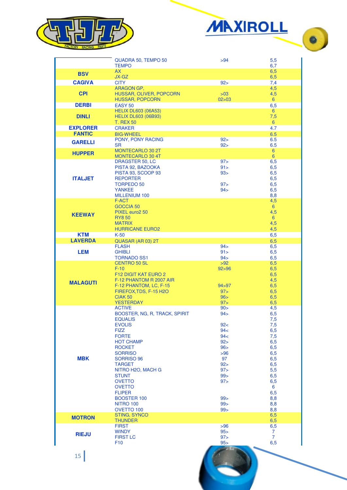



|                 | QUADRA 50, TEMPO 50<br><b>TEMPO</b>              | >94                     | 5,5<br>6,7            |
|-----------------|--------------------------------------------------|-------------------------|-----------------------|
| <b>BSV</b>      | AX                                               |                         | 6,5                   |
|                 | JX-GZ                                            |                         | 6,5                   |
| <b>CAGIVA</b>   | <b>CITY</b>                                      | 92>                     | 7,4                   |
|                 | ARAGON GP,                                       |                         | 4,5                   |
| <b>CPI</b>      | HUSSAR, OLIVER, POPCORN                          | >03                     | 4,5                   |
| <b>DERBI</b>    | <b>HUSSAR, POPCORN</b>                           | 02 > 03                 | $6^{\circ}$           |
|                 | <b>EASY 50</b><br><b>HELIX DL603 (06A53)</b>     |                         | 6,5<br>$6^{\circ}$    |
| <b>DINLI</b>    | <b>HELIX DL603 (06B93)</b>                       |                         | 7,5                   |
|                 | <b>T. REX 50</b>                                 |                         | $6^{\circ}$           |
| <b>EXPLORER</b> | <b>CRAKER</b>                                    |                         | 4.7                   |
| <b>FANTIC</b>   | <b>BIG-WHEEL</b>                                 |                         | 6.5                   |
|                 | PONY, PONY RACING                                | 92>                     | 6.5                   |
| <b>GARELLI</b>  | <b>SR</b>                                        | 92>                     | 6.5                   |
|                 | MONTECARLO 30 2T                                 |                         | 6                     |
| <b>HUPPER</b>   | MONTECARLO 30 4T                                 |                         | $6\phantom{1}$        |
|                 | <b>DRAGSTER 50, LC</b>                           | 97 >                    | 6,5                   |
|                 | PISTA 92, BAZOOKA                                | 91 >                    | 6,5                   |
|                 | PISTA 93, SCOOP 93                               | 93 >                    | 6,5                   |
| <b>ITALJET</b>  | <b>REPORTER</b>                                  |                         | 6,5                   |
|                 | <b>TORPEDO 50</b>                                | 97 >                    | 6,5                   |
|                 | <b>YANKEE</b>                                    | 94 >                    | 6,5                   |
|                 | MILLENIUM 100                                    |                         | 8,8                   |
|                 | F-ACT<br><b>GOCCIA 50</b>                        |                         | 4,5<br>$6^{\circ}$    |
|                 | PIXEL euro2 50                                   |                         | 4,5                   |
| <b>KEEWAY</b>   | <b>RY8 50</b>                                    |                         | $6^{\circ}$           |
|                 | <b>MATRIX</b>                                    |                         | 4,5                   |
|                 | <b>HURRICANE EURO2</b>                           |                         | 4,5                   |
| <b>KTM</b>      | $K-50$                                           |                         | 6,5                   |
| <b>LAVERDA</b>  | QUASAR (AR 03) 2T                                |                         | 6,5                   |
|                 | <b>FLASH</b>                                     | 94>                     | 6,5                   |
| <b>LEM</b>      | <b>GHIBLI</b>                                    | 91>                     | 6,5                   |
|                 | <b>TORNADO SS1</b>                               | 94 >                    | 6,5                   |
|                 | <b>CENTRO 50 SL</b>                              | >92                     | 6,5                   |
|                 | $F-10$                                           | 92 > 96                 | 6,5                   |
|                 | <b>F12 DIGIT KAT EURO 2</b>                      |                         | 6,5                   |
| <b>MALAGUTI</b> | F-12 PHANTOM R 2007 AIR                          |                         | 4,5                   |
|                 | F-12 PHANTOM, LC, F-15<br>FIREFOX, TDS, F-15 H2O | 94 > 97<br>97 >         | 6,5<br>6,5            |
|                 | <b>CIAK 50</b>                                   | 96 >                    | 6,5                   |
|                 | <b>YESTERDAY</b>                                 | 97 >                    | 6,5                   |
|                 | <b>ACTIVE</b>                                    | 90 >                    | 4,5                   |
|                 | BOOSTER, NG, R, TRACK, SPIRIT                    | 94 >                    | 6,5                   |
|                 | <b>EQUALIS</b>                                   |                         | 7,5                   |
|                 | <b>EVOLIS</b>                                    | 92<                     | 7,5                   |
|                 | <b>FIZZ</b>                                      | 94<                     | 6,5                   |
|                 | <b>FORTE</b>                                     | 94<                     | 7,5                   |
|                 | <b>HOT CHAMP</b>                                 | 92>                     | 6,5                   |
|                 | <b>ROCKET</b>                                    | 96 >                    | 6,5                   |
|                 | <b>SORRISO</b>                                   | >96                     | 6,5                   |
| <b>MBK</b>      | SORRISO 96<br><b>TARGET</b>                      | 97<br>92>               | 6,5                   |
|                 | NITRO H2O, MACH G                                | 97 >                    | 6,5<br>5,5            |
|                 | <b>STUNT</b>                                     | 99 >                    | 6,5                   |
|                 | <b>OVETTO</b>                                    | 97 >                    | 6,5                   |
|                 | <b>OVETTO</b>                                    |                         | 6                     |
|                 | <b>FLIPER</b>                                    |                         | 6,5                   |
|                 | <b>BOOSTER 100</b>                               | 99                      | 8,8                   |
|                 | <b>NITRO 100</b>                                 | 99 >                    | 8,8                   |
|                 | OVETTO 100                                       | 99                      | 8,8                   |
|                 | <b>STING, SYNCO</b>                              |                         | 6,5                   |
|                 |                                                  |                         |                       |
| <b>MOTRON</b>   | <b>THUNDER</b>                                   |                         | 6,5                   |
|                 | <b>FIRST</b>                                     | >96                     | 6,5                   |
| <b>RIEJU</b>    | <b>WINDY</b>                                     | 95 >                    | 7                     |
|                 | <b>FIRST LC</b><br>F <sub>10</sub>               | 97 ><br>95 <sub>5</sub> | $\overline{7}$<br>6,5 |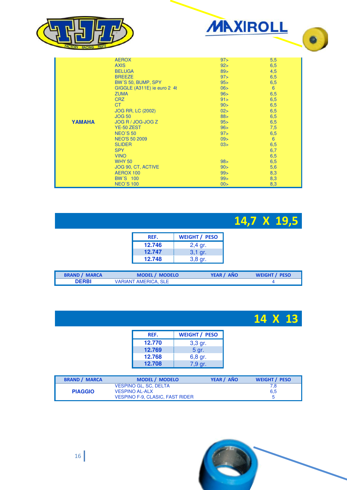



|        | <b>AEROX</b>                | 97 >            | 5,5 |
|--------|-----------------------------|-----------------|-----|
|        | <b>AXIS</b>                 | 92>             | 6,5 |
|        | <b>BELUGA</b>               | 89              | 4,5 |
|        | <b>BREEZE</b>               | 97 >            | 6,5 |
|        | BW'S 50, BUMP, SPY          | 95 <sub>5</sub> | 6,5 |
|        | GIGGLE (A311E) ie euro 2 4t | 06>             | 6   |
|        | <b>ZUMA</b>                 | 96 <sub>5</sub> | 6,5 |
|        | <b>CRZ</b>                  | 91              | 6,5 |
|        | <b>CT</b>                   | 90 >            | 6,5 |
|        | <b>JOG RR, LC (2002)</b>    | 02>             | 6,5 |
|        | <b>JOG 50</b>               | 88 >            | 6,5 |
| YAMAHA | JOG R / JOG-JOG Z           | 95 <sub>2</sub> | 6,5 |
|        | YE-50 ZEST                  | 96 <sub>5</sub> | 7,5 |
|        | NEO'S 50                    | 97 >            | 6,5 |
|        | <b>NEO'S 50 2009</b>        | 09 >            | 6   |
|        | <b>SLIDER</b>               | 03>             | 6,5 |
|        | <b>SPY</b>                  |                 | 6,7 |
|        | <b>VINO</b>                 |                 | 6,5 |
|        | <b>WHY 50</b>               | 98 >            | 6,5 |
|        | JOG 90, CT, ACTIVE          | 90 >            | 5,6 |
|        | AEROX 100                   | 99 >            | 8,3 |
|        | <b>BW'S 100</b>             | 99 >            | 8,3 |
|        | <b>NEO'S 100</b>            | 00 >            | 8,3 |

## **14,7 X 19,5**

| RFF.   | <b>WEIGHT / PESO</b> |
|--------|----------------------|
| 12.746 | $2,4$ gr.            |
| 12.747 | $3,1$ gr.            |
| 12.748 | 3,8 gr.              |

| <b>BRAND / MARCA</b> | <b>MODEL / MODELO</b>       | YEAR / AÑO | <b>WEIGHT / PESO</b> |
|----------------------|-----------------------------|------------|----------------------|
| <b>DERBI</b>         | <b>VARIANT AMERICA, SLE</b> |            |                      |

## **14 X 13**

| REF.   | <b>WEIGHT / PESO</b> |
|--------|----------------------|
| 12.770 | 3,3 gr.              |
| 12.769 | 5 gr.                |
| 12.768 | 6,8 gr.              |
| 12.708 | 7,9 gr.              |

| <b>BRAND / MARCA</b> | <b>MODEL / MODELO</b>                                 | YEAR / AÑO | <b>WEIGHT / PESO</b> |
|----------------------|-------------------------------------------------------|------------|----------------------|
| <b>PIAGGIO</b>       | <b>VESPINO GL, SC, DELTA</b><br><b>VESPINO AL-ALX</b> |            | 7.8<br>6,5           |
|                      | <b>VESPINO F-9, CLASIC, FAST RIDER</b>                |            |                      |